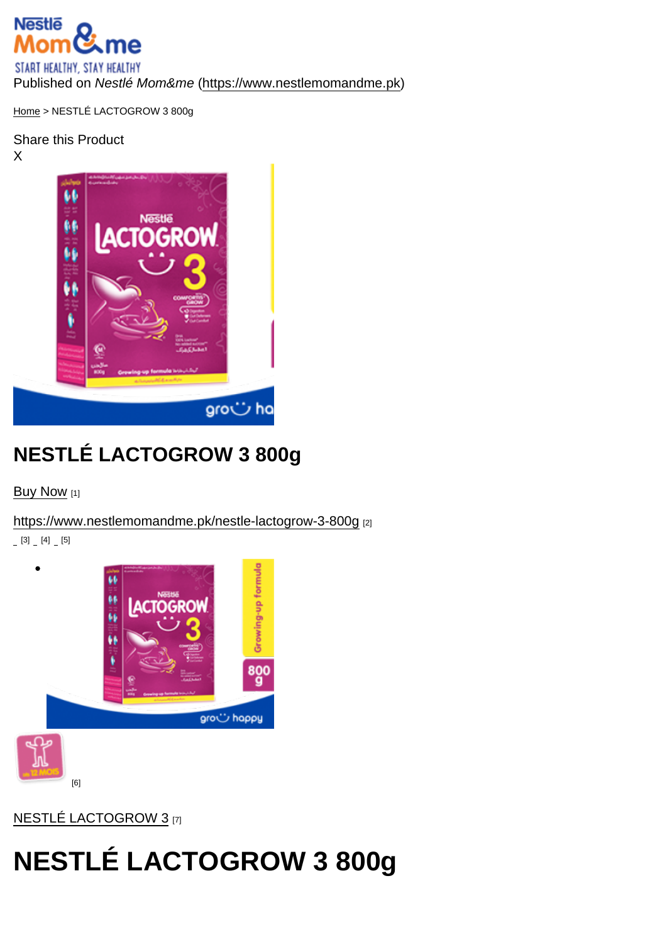Published on Nestlé Mom&me (<https://www.nestlemomandme.pk>)

[Home](https://www.nestlemomandme.pk/) > NESTLÉ LACTOGROW 3 800g

Share this Product X

## NESTLÉ LACTOGROW 3 800g

[Buy Now](https://www.daraz.pk/products/nestle-lactogrow-3-800g-growing-up-formula-i3692240-s13624310.html?spm=a2a0e.8553159.0.0.33a82f27OdhxyP&search=store&mp=3) [1]

<https://www.nestlemomandme.pk/nestle-lactogrow-3-800g> [2]

 $[3]$   $[4]$   $[5]$ 

 $\bullet$ 

[6]

[NESTLÉ LACTOGROW 3](https://www.nestlemomandme.pk/brand/nestle-lactogrow-3) [7]

## NESTLÉ LACTOGROW 3 800g